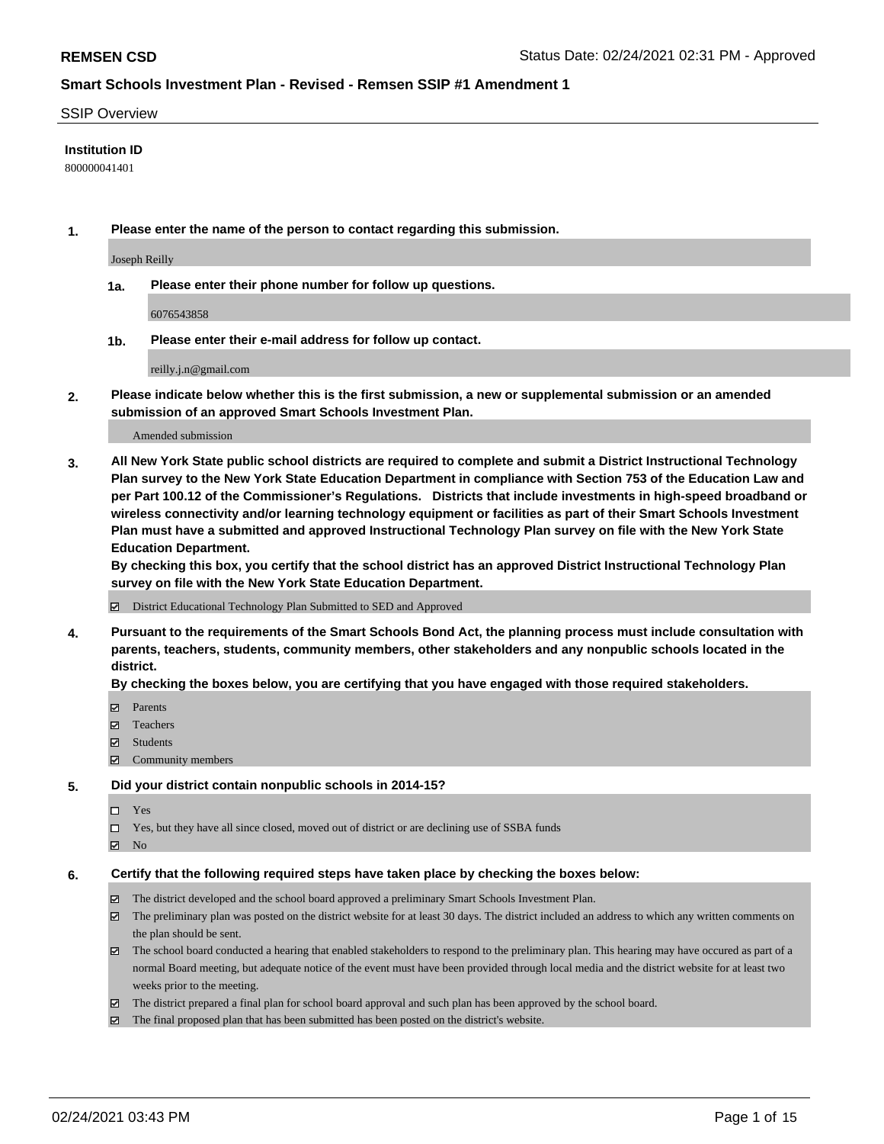#### SSIP Overview

### **Institution ID**

800000041401

**1. Please enter the name of the person to contact regarding this submission.**

Joseph Reilly

**1a. Please enter their phone number for follow up questions.**

6076543858

**1b. Please enter their e-mail address for follow up contact.**

reilly.j.n@gmail.com

**2. Please indicate below whether this is the first submission, a new or supplemental submission or an amended submission of an approved Smart Schools Investment Plan.**

#### Amended submission

**3. All New York State public school districts are required to complete and submit a District Instructional Technology Plan survey to the New York State Education Department in compliance with Section 753 of the Education Law and per Part 100.12 of the Commissioner's Regulations. Districts that include investments in high-speed broadband or wireless connectivity and/or learning technology equipment or facilities as part of their Smart Schools Investment Plan must have a submitted and approved Instructional Technology Plan survey on file with the New York State Education Department.** 

**By checking this box, you certify that the school district has an approved District Instructional Technology Plan survey on file with the New York State Education Department.**

District Educational Technology Plan Submitted to SED and Approved

**4. Pursuant to the requirements of the Smart Schools Bond Act, the planning process must include consultation with parents, teachers, students, community members, other stakeholders and any nonpublic schools located in the district.** 

#### **By checking the boxes below, you are certifying that you have engaged with those required stakeholders.**

- **Ø** Parents
- Teachers
- Students
- Community members

#### **5. Did your district contain nonpublic schools in 2014-15?**

- □ Yes
- □ Yes, but they have all since closed, moved out of district or are declining use of SSBA funds
- **Ø** No

#### **6. Certify that the following required steps have taken place by checking the boxes below:**

- The district developed and the school board approved a preliminary Smart Schools Investment Plan.
- The preliminary plan was posted on the district website for at least 30 days. The district included an address to which any written comments on the plan should be sent.
- The school board conducted a hearing that enabled stakeholders to respond to the preliminary plan. This hearing may have occured as part of a normal Board meeting, but adequate notice of the event must have been provided through local media and the district website for at least two weeks prior to the meeting.
- The district prepared a final plan for school board approval and such plan has been approved by the school board.
- $\boxtimes$  The final proposed plan that has been submitted has been posted on the district's website.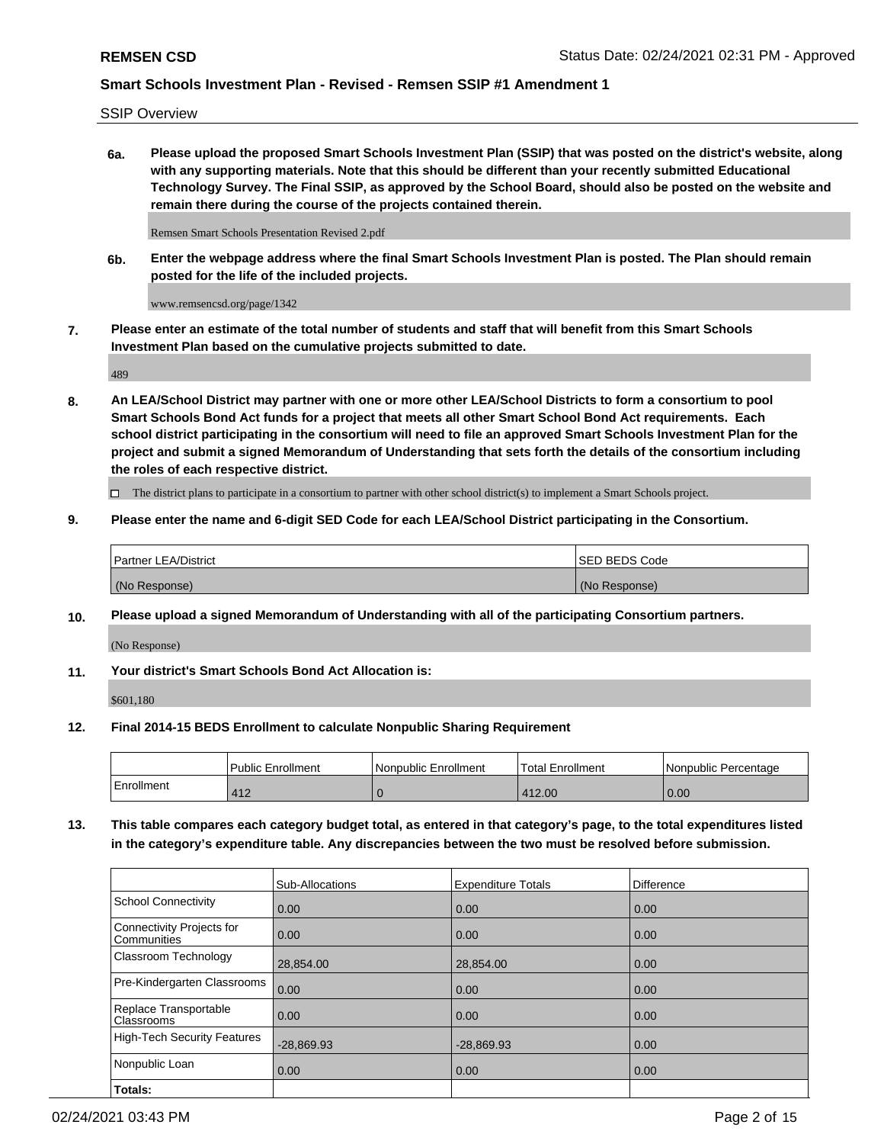SSIP Overview

**6a. Please upload the proposed Smart Schools Investment Plan (SSIP) that was posted on the district's website, along with any supporting materials. Note that this should be different than your recently submitted Educational Technology Survey. The Final SSIP, as approved by the School Board, should also be posted on the website and remain there during the course of the projects contained therein.**

Remsen Smart Schools Presentation Revised 2.pdf

**6b. Enter the webpage address where the final Smart Schools Investment Plan is posted. The Plan should remain posted for the life of the included projects.**

www.remsencsd.org/page/1342

**7. Please enter an estimate of the total number of students and staff that will benefit from this Smart Schools Investment Plan based on the cumulative projects submitted to date.**

489

**8. An LEA/School District may partner with one or more other LEA/School Districts to form a consortium to pool Smart Schools Bond Act funds for a project that meets all other Smart School Bond Act requirements. Each school district participating in the consortium will need to file an approved Smart Schools Investment Plan for the project and submit a signed Memorandum of Understanding that sets forth the details of the consortium including the roles of each respective district.**

 $\Box$  The district plans to participate in a consortium to partner with other school district(s) to implement a Smart Schools project.

### **9. Please enter the name and 6-digit SED Code for each LEA/School District participating in the Consortium.**

| Partner LEA/District | ISED BEDS Code |
|----------------------|----------------|
| (No Response)        | (No Response)  |

### **10. Please upload a signed Memorandum of Understanding with all of the participating Consortium partners.**

(No Response)

**11. Your district's Smart Schools Bond Act Allocation is:**

\$601,180

#### **12. Final 2014-15 BEDS Enrollment to calculate Nonpublic Sharing Requirement**

|            | Public Enrollment | Nonpublic Enrollment | Total Enrollment | I Nonpublic Percentage |
|------------|-------------------|----------------------|------------------|------------------------|
| Enrollment | 110<br>4 I Z      |                      | 412.00           | 0.00                   |

**13. This table compares each category budget total, as entered in that category's page, to the total expenditures listed in the category's expenditure table. Any discrepancies between the two must be resolved before submission.**

|                                          | Sub-Allocations | <b>Expenditure Totals</b> | <b>Difference</b> |
|------------------------------------------|-----------------|---------------------------|-------------------|
| <b>School Connectivity</b>               | 0.00            | 0.00                      | 0.00              |
| Connectivity Projects for<br>Communities | 0.00            | 0.00                      | 0.00              |
| Classroom Technology                     | 28,854.00       | 28,854.00                 | 0.00              |
| Pre-Kindergarten Classrooms              | 0.00            | 0.00                      | 0.00              |
| Replace Transportable<br>Classrooms      | 0.00            | 0.00                      | 0.00              |
| <b>High-Tech Security Features</b>       | $-28,869.93$    | $-28,869.93$              | 0.00              |
| Nonpublic Loan                           | 0.00            | 0.00                      | 0.00              |
| Totals:                                  |                 |                           |                   |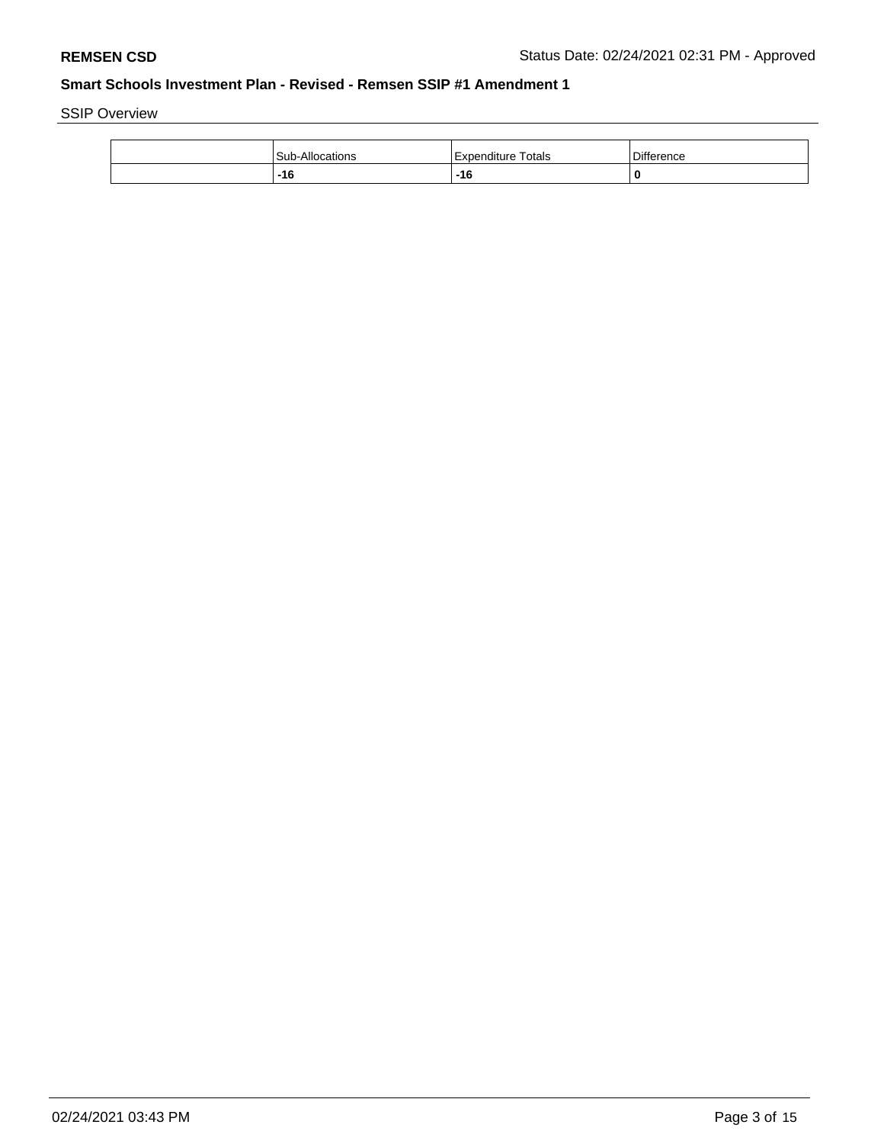SSIP Overview

| Sub-<br>-Allocations | Totals<br>l Expenditure | <b>Difference</b> |
|----------------------|-------------------------|-------------------|
| $-16$<br>___         | $-16$                   | 0                 |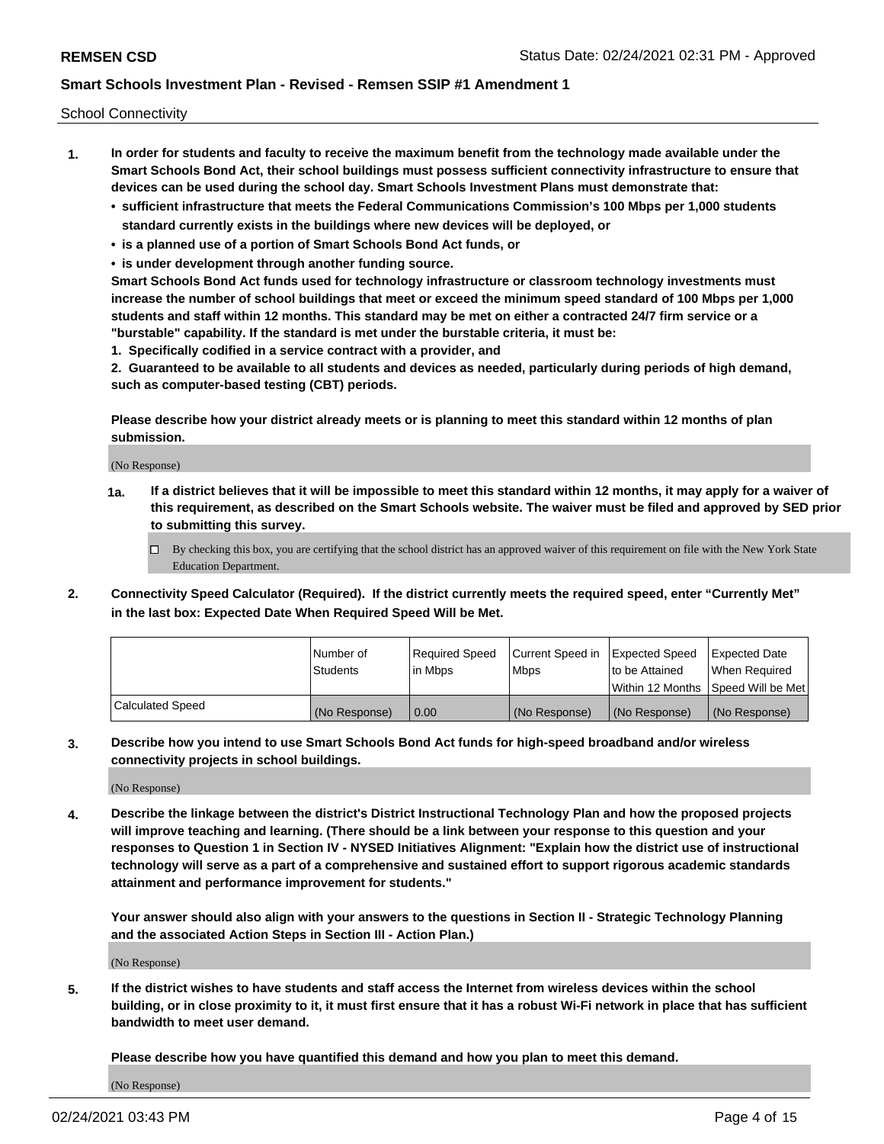School Connectivity

- **1. In order for students and faculty to receive the maximum benefit from the technology made available under the Smart Schools Bond Act, their school buildings must possess sufficient connectivity infrastructure to ensure that devices can be used during the school day. Smart Schools Investment Plans must demonstrate that:**
	- **• sufficient infrastructure that meets the Federal Communications Commission's 100 Mbps per 1,000 students standard currently exists in the buildings where new devices will be deployed, or**
	- **• is a planned use of a portion of Smart Schools Bond Act funds, or**
	- **• is under development through another funding source.**

**Smart Schools Bond Act funds used for technology infrastructure or classroom technology investments must increase the number of school buildings that meet or exceed the minimum speed standard of 100 Mbps per 1,000 students and staff within 12 months. This standard may be met on either a contracted 24/7 firm service or a "burstable" capability. If the standard is met under the burstable criteria, it must be:**

**1. Specifically codified in a service contract with a provider, and**

**2. Guaranteed to be available to all students and devices as needed, particularly during periods of high demand, such as computer-based testing (CBT) periods.**

**Please describe how your district already meets or is planning to meet this standard within 12 months of plan submission.**

(No Response)

**1a. If a district believes that it will be impossible to meet this standard within 12 months, it may apply for a waiver of this requirement, as described on the Smart Schools website. The waiver must be filed and approved by SED prior to submitting this survey.**

 $\Box$  By checking this box, you are certifying that the school district has an approved waiver of this requirement on file with the New York State Education Department.

**2. Connectivity Speed Calculator (Required). If the district currently meets the required speed, enter "Currently Met" in the last box: Expected Date When Required Speed Will be Met.**

|                  | l Number of     | Required Speed | Current Speed in | Expected Speed  | Expected Date                           |
|------------------|-----------------|----------------|------------------|-----------------|-----------------------------------------|
|                  | <b>Students</b> | In Mbps        | l Mbps           | to be Attained  | When Required                           |
|                  |                 |                |                  |                 | l Within 12 Months ISpeed Will be Met l |
| Calculated Speed | (No Response)   | 0.00           | (No Response)    | l (No Response) | l (No Response)                         |

**3. Describe how you intend to use Smart Schools Bond Act funds for high-speed broadband and/or wireless connectivity projects in school buildings.**

(No Response)

**4. Describe the linkage between the district's District Instructional Technology Plan and how the proposed projects will improve teaching and learning. (There should be a link between your response to this question and your responses to Question 1 in Section IV - NYSED Initiatives Alignment: "Explain how the district use of instructional technology will serve as a part of a comprehensive and sustained effort to support rigorous academic standards attainment and performance improvement for students."** 

**Your answer should also align with your answers to the questions in Section II - Strategic Technology Planning and the associated Action Steps in Section III - Action Plan.)**

(No Response)

**5. If the district wishes to have students and staff access the Internet from wireless devices within the school building, or in close proximity to it, it must first ensure that it has a robust Wi-Fi network in place that has sufficient bandwidth to meet user demand.**

**Please describe how you have quantified this demand and how you plan to meet this demand.**

(No Response)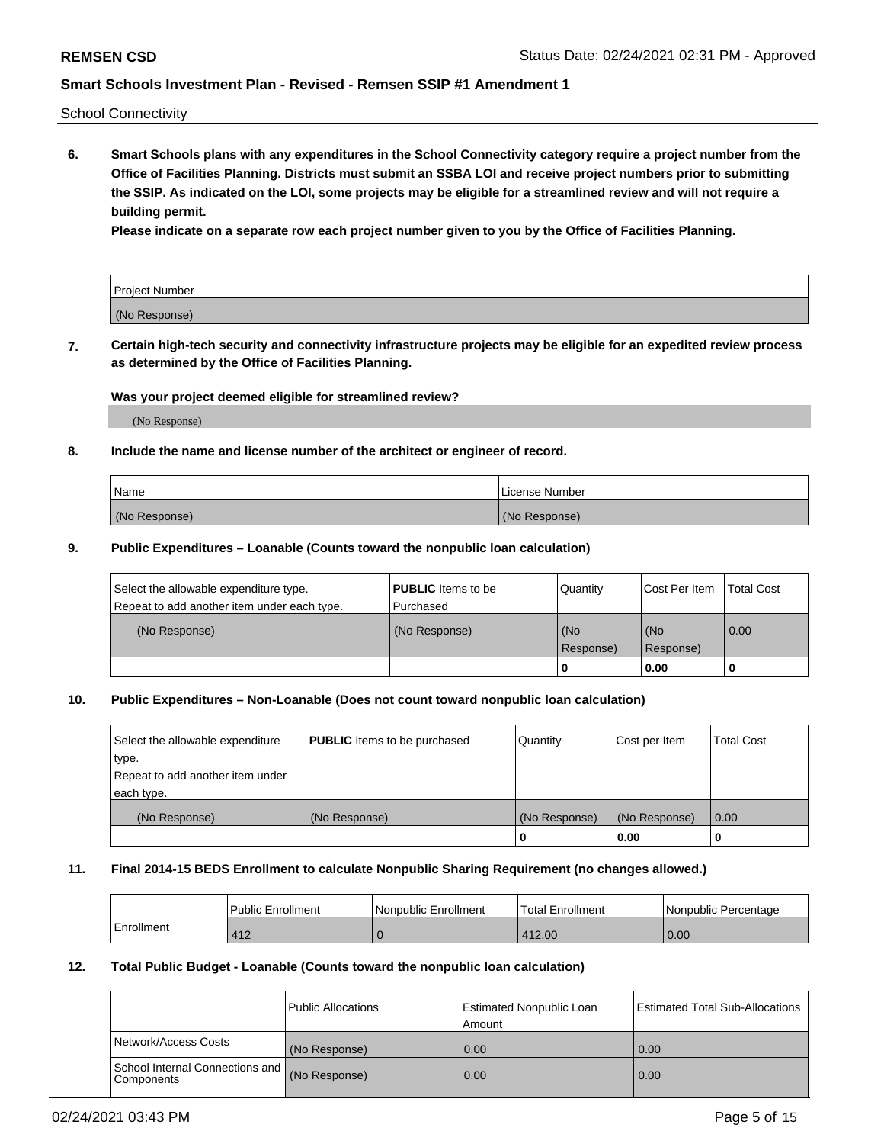School Connectivity

**6. Smart Schools plans with any expenditures in the School Connectivity category require a project number from the Office of Facilities Planning. Districts must submit an SSBA LOI and receive project numbers prior to submitting the SSIP. As indicated on the LOI, some projects may be eligible for a streamlined review and will not require a building permit.**

**Please indicate on a separate row each project number given to you by the Office of Facilities Planning.**

| Project Number |  |
|----------------|--|
| (No Response)  |  |

**7. Certain high-tech security and connectivity infrastructure projects may be eligible for an expedited review process as determined by the Office of Facilities Planning.**

### **Was your project deemed eligible for streamlined review?**

(No Response)

### **8. Include the name and license number of the architect or engineer of record.**

| Name          | License Number |
|---------------|----------------|
| (No Response) | (No Response)  |

#### **9. Public Expenditures – Loanable (Counts toward the nonpublic loan calculation)**

| Select the allowable expenditure type.<br>Repeat to add another item under each type. | <b>PUBLIC</b> Items to be<br>l Purchased | Quantity         | l Cost Per Item  | <b>Total Cost</b> |
|---------------------------------------------------------------------------------------|------------------------------------------|------------------|------------------|-------------------|
| (No Response)                                                                         | (No Response)                            | (No<br>Response) | (No<br>Response) | 0.00              |
|                                                                                       |                                          | 0                | 0.00             |                   |

### **10. Public Expenditures – Non-Loanable (Does not count toward nonpublic loan calculation)**

| Select the allowable expenditure<br>type.<br>Repeat to add another item under<br>each type. | <b>PUBLIC</b> Items to be purchased | Quantity      | Cost per Item | <b>Total Cost</b> |
|---------------------------------------------------------------------------------------------|-------------------------------------|---------------|---------------|-------------------|
| (No Response)                                                                               | (No Response)                       | (No Response) | (No Response) | 0.00              |
|                                                                                             |                                     |               | 0.00          |                   |

#### **11. Final 2014-15 BEDS Enrollment to calculate Nonpublic Sharing Requirement (no changes allowed.)**

|            | Public Enrollment | Nonpublic Enrollment | 'Total Enrollment | l Nonpublic Percentage |
|------------|-------------------|----------------------|-------------------|------------------------|
| Enrollment | 412               |                      | 412.00            | 0.00                   |

### **12. Total Public Budget - Loanable (Counts toward the nonpublic loan calculation)**

|                                                      | Public Allocations | <b>Estimated Nonpublic Loan</b><br>Amount | Estimated Total Sub-Allocations |
|------------------------------------------------------|--------------------|-------------------------------------------|---------------------------------|
| Network/Access Costs                                 | (No Response)      | 0.00                                      | 0.00                            |
| School Internal Connections and<br><b>Components</b> | (No Response)      | 0.00                                      | 0.00                            |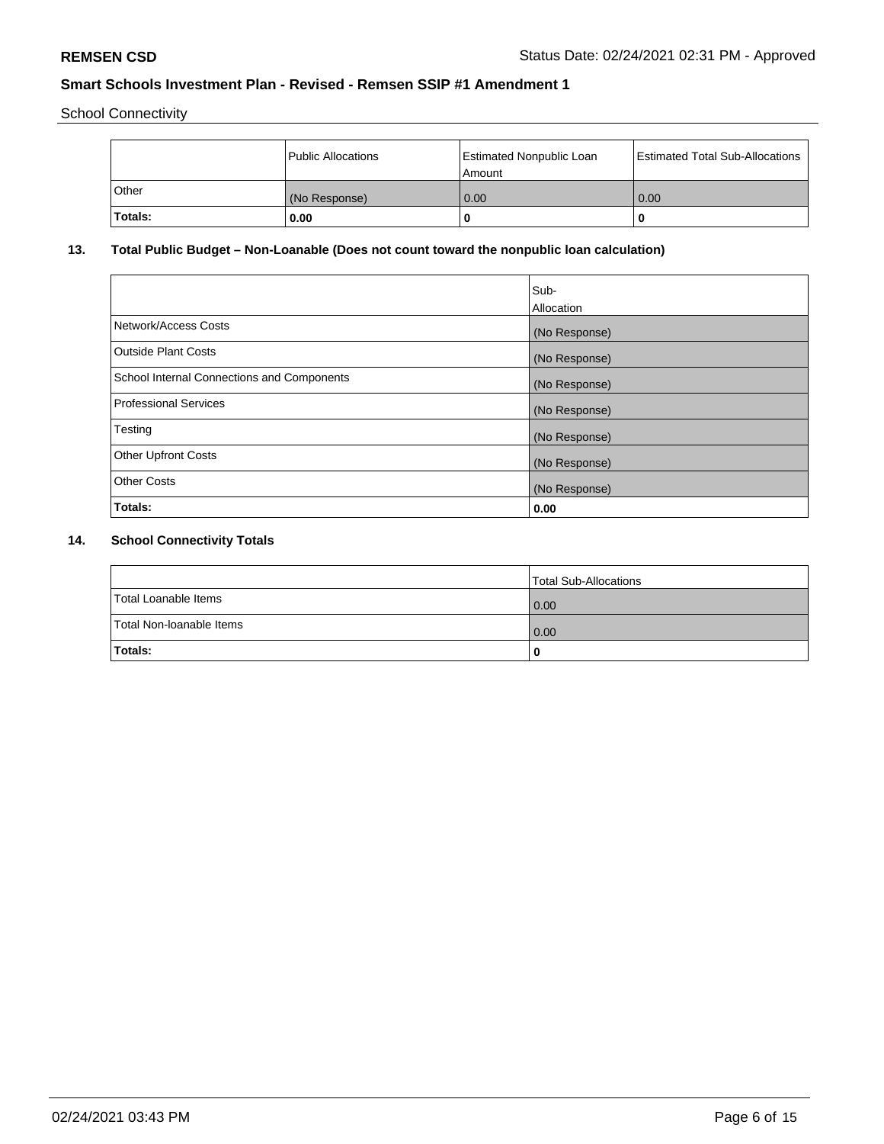School Connectivity

|                | Public Allocations | <b>Estimated Nonpublic Loan</b><br>l Amount | <b>Estimated Total Sub-Allocations</b> |
|----------------|--------------------|---------------------------------------------|----------------------------------------|
| l Other        | (No Response)      | 0.00                                        | 0.00                                   |
| <b>Totals:</b> | 0.00               | 0                                           |                                        |

## **13. Total Public Budget – Non-Loanable (Does not count toward the nonpublic loan calculation)**

|                                                   | Sub-<br>Allocation |
|---------------------------------------------------|--------------------|
| Network/Access Costs                              | (No Response)      |
| <b>Outside Plant Costs</b>                        | (No Response)      |
| <b>School Internal Connections and Components</b> | (No Response)      |
| Professional Services                             | (No Response)      |
| Testing                                           | (No Response)      |
| <b>Other Upfront Costs</b>                        | (No Response)      |
| <b>Other Costs</b>                                | (No Response)      |
| <b>Totals:</b>                                    | 0.00               |

## **14. School Connectivity Totals**

|                          | Total Sub-Allocations |
|--------------------------|-----------------------|
| Total Loanable Items     | 0.00                  |
| Total Non-Ioanable Items | 0.00                  |
| Totals:                  | 0                     |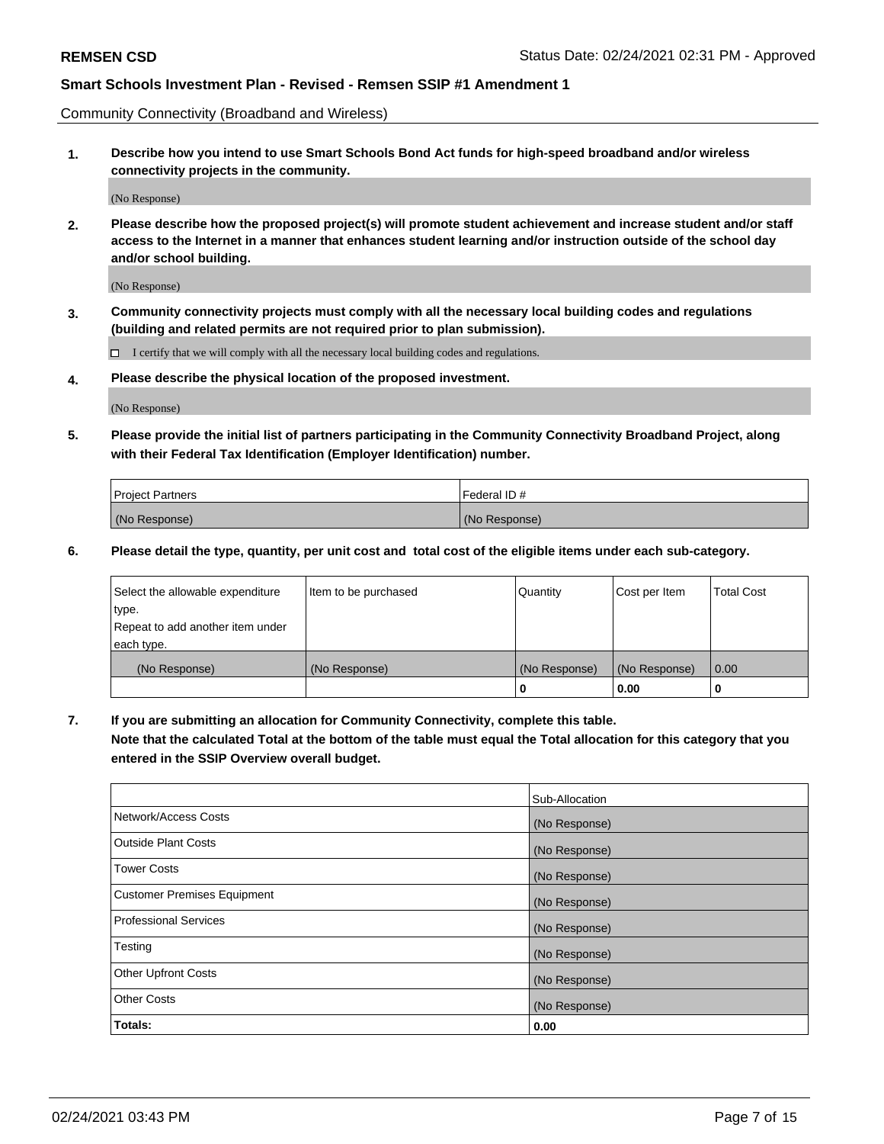Community Connectivity (Broadband and Wireless)

**1. Describe how you intend to use Smart Schools Bond Act funds for high-speed broadband and/or wireless connectivity projects in the community.**

(No Response)

**2. Please describe how the proposed project(s) will promote student achievement and increase student and/or staff access to the Internet in a manner that enhances student learning and/or instruction outside of the school day and/or school building.**

(No Response)

**3. Community connectivity projects must comply with all the necessary local building codes and regulations (building and related permits are not required prior to plan submission).**

 $\Box$  I certify that we will comply with all the necessary local building codes and regulations.

**4. Please describe the physical location of the proposed investment.**

(No Response)

**5. Please provide the initial list of partners participating in the Community Connectivity Broadband Project, along with their Federal Tax Identification (Employer Identification) number.**

| <b>Project Partners</b> | l Federal ID # |
|-------------------------|----------------|
| (No Response)           | (No Response)  |

**6. Please detail the type, quantity, per unit cost and total cost of the eligible items under each sub-category.**

| Select the allowable expenditure | Item to be purchased | Quantity      | Cost per Item | <b>Total Cost</b> |
|----------------------------------|----------------------|---------------|---------------|-------------------|
| type.                            |                      |               |               |                   |
| Repeat to add another item under |                      |               |               |                   |
| each type.                       |                      |               |               |                   |
| (No Response)                    | (No Response)        | (No Response) | (No Response) | 0.00              |
|                                  |                      | o             | 0.00          |                   |

**7. If you are submitting an allocation for Community Connectivity, complete this table.**

**Note that the calculated Total at the bottom of the table must equal the Total allocation for this category that you entered in the SSIP Overview overall budget.**

|                                    | Sub-Allocation |
|------------------------------------|----------------|
| Network/Access Costs               | (No Response)  |
| Outside Plant Costs                | (No Response)  |
| <b>Tower Costs</b>                 | (No Response)  |
| <b>Customer Premises Equipment</b> | (No Response)  |
| <b>Professional Services</b>       | (No Response)  |
| Testing                            | (No Response)  |
| <b>Other Upfront Costs</b>         | (No Response)  |
| <b>Other Costs</b>                 | (No Response)  |
| Totals:                            | 0.00           |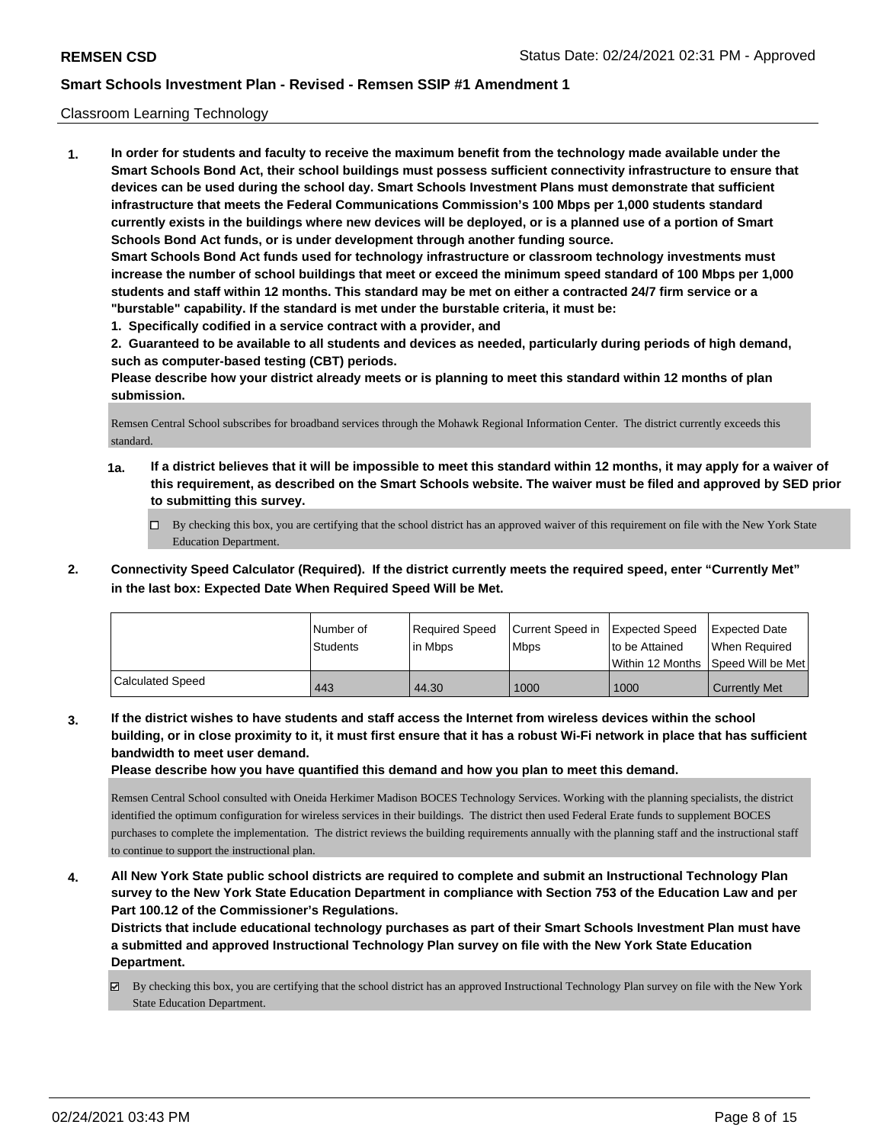### Classroom Learning Technology

**1. In order for students and faculty to receive the maximum benefit from the technology made available under the Smart Schools Bond Act, their school buildings must possess sufficient connectivity infrastructure to ensure that devices can be used during the school day. Smart Schools Investment Plans must demonstrate that sufficient infrastructure that meets the Federal Communications Commission's 100 Mbps per 1,000 students standard currently exists in the buildings where new devices will be deployed, or is a planned use of a portion of Smart Schools Bond Act funds, or is under development through another funding source. Smart Schools Bond Act funds used for technology infrastructure or classroom technology investments must increase the number of school buildings that meet or exceed the minimum speed standard of 100 Mbps per 1,000 students and staff within 12 months. This standard may be met on either a contracted 24/7 firm service or a "burstable" capability. If the standard is met under the burstable criteria, it must be:**

**1. Specifically codified in a service contract with a provider, and**

**2. Guaranteed to be available to all students and devices as needed, particularly during periods of high demand, such as computer-based testing (CBT) periods.**

**Please describe how your district already meets or is planning to meet this standard within 12 months of plan submission.**

Remsen Central School subscribes for broadband services through the Mohawk Regional Information Center. The district currently exceeds this standard.

- **1a. If a district believes that it will be impossible to meet this standard within 12 months, it may apply for a waiver of this requirement, as described on the Smart Schools website. The waiver must be filed and approved by SED prior to submitting this survey.**
	- By checking this box, you are certifying that the school district has an approved waiver of this requirement on file with the New York State Education Department.
- **2. Connectivity Speed Calculator (Required). If the district currently meets the required speed, enter "Currently Met" in the last box: Expected Date When Required Speed Will be Met.**

|                         | INumber of<br>Students | Required Speed<br>l in Mbps | Current Speed in<br>l Mbps | <b>Expected Speed</b><br>Ito be Attained | Expected Date<br>When Required<br>Within 12 Months Speed Will be Met |
|-------------------------|------------------------|-----------------------------|----------------------------|------------------------------------------|----------------------------------------------------------------------|
| <b>Calculated Speed</b> | 443                    | 44.30                       | 1000                       | 1000                                     | <b>Currently Met</b>                                                 |

**3. If the district wishes to have students and staff access the Internet from wireless devices within the school building, or in close proximity to it, it must first ensure that it has a robust Wi-Fi network in place that has sufficient bandwidth to meet user demand.**

**Please describe how you have quantified this demand and how you plan to meet this demand.**

Remsen Central School consulted with Oneida Herkimer Madison BOCES Technology Services. Working with the planning specialists, the district identified the optimum configuration for wireless services in their buildings. The district then used Federal Erate funds to supplement BOCES purchases to complete the implementation. The district reviews the building requirements annually with the planning staff and the instructional staff to continue to support the instructional plan.

**4. All New York State public school districts are required to complete and submit an Instructional Technology Plan survey to the New York State Education Department in compliance with Section 753 of the Education Law and per Part 100.12 of the Commissioner's Regulations.**

**Districts that include educational technology purchases as part of their Smart Schools Investment Plan must have a submitted and approved Instructional Technology Plan survey on file with the New York State Education Department.**

By checking this box, you are certifying that the school district has an approved Instructional Technology Plan survey on file with the New York State Education Department.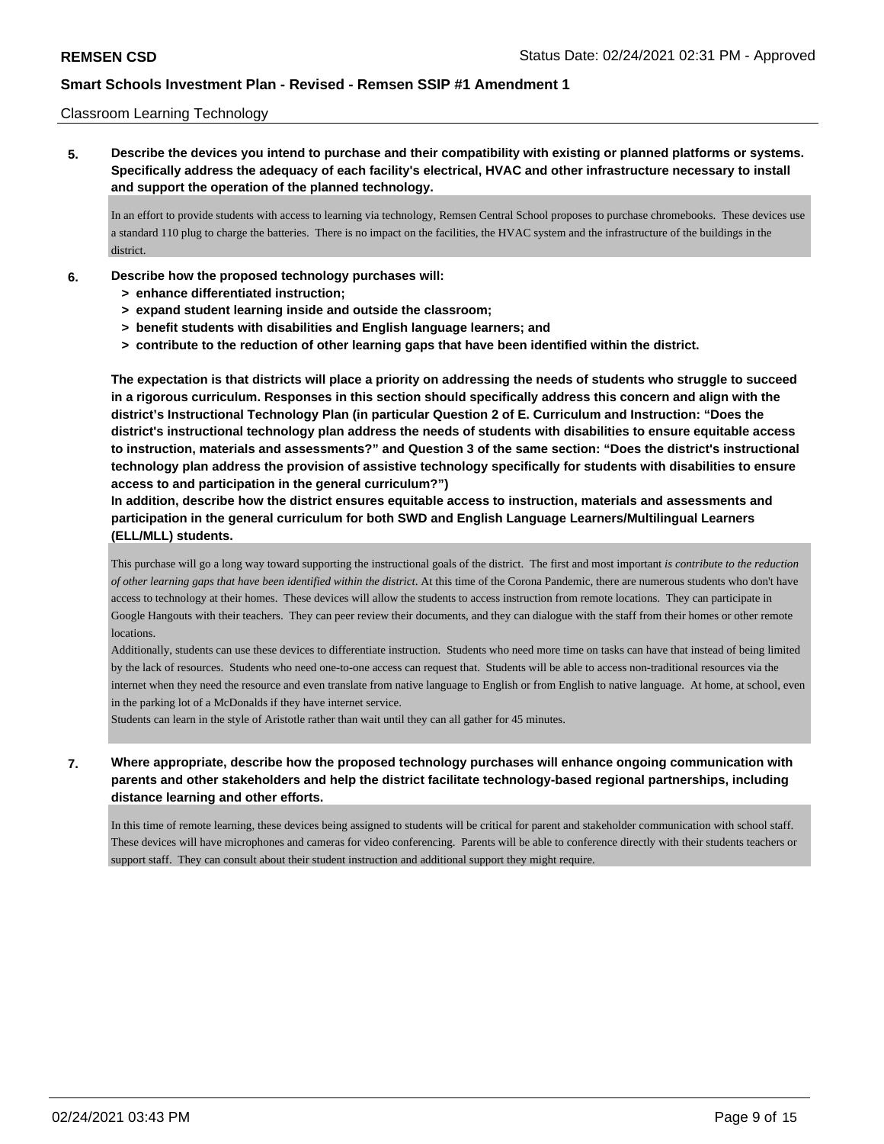### Classroom Learning Technology

**5. Describe the devices you intend to purchase and their compatibility with existing or planned platforms or systems. Specifically address the adequacy of each facility's electrical, HVAC and other infrastructure necessary to install and support the operation of the planned technology.**

In an effort to provide students with access to learning via technology, Remsen Central School proposes to purchase chromebooks. These devices use a standard 110 plug to charge the batteries. There is no impact on the facilities, the HVAC system and the infrastructure of the buildings in the district.

- **6. Describe how the proposed technology purchases will:**
	- **> enhance differentiated instruction;**
	- **> expand student learning inside and outside the classroom;**
	- **> benefit students with disabilities and English language learners; and**
	- **> contribute to the reduction of other learning gaps that have been identified within the district.**

**The expectation is that districts will place a priority on addressing the needs of students who struggle to succeed in a rigorous curriculum. Responses in this section should specifically address this concern and align with the district's Instructional Technology Plan (in particular Question 2 of E. Curriculum and Instruction: "Does the district's instructional technology plan address the needs of students with disabilities to ensure equitable access to instruction, materials and assessments?" and Question 3 of the same section: "Does the district's instructional technology plan address the provision of assistive technology specifically for students with disabilities to ensure access to and participation in the general curriculum?")**

**In addition, describe how the district ensures equitable access to instruction, materials and assessments and participation in the general curriculum for both SWD and English Language Learners/Multilingual Learners (ELL/MLL) students.**

This purchase will go a long way toward supporting the instructional goals of the district. The first and most important *is contribute to the reduction of other learning gaps that have been identified within the district*. At this time of the Corona Pandemic, there are numerous students who don't have access to technology at their homes. These devices will allow the students to access instruction from remote locations. They can participate in Google Hangouts with their teachers. They can peer review their documents, and they can dialogue with the staff from their homes or other remote **locations** 

Additionally, students can use these devices to differentiate instruction. Students who need more time on tasks can have that instead of being limited by the lack of resources. Students who need one-to-one access can request that. Students will be able to access non-traditional resources via the internet when they need the resource and even translate from native language to English or from English to native language. At home, at school, even in the parking lot of a McDonalds if they have internet service.

Students can learn in the style of Aristotle rather than wait until they can all gather for 45 minutes.

### **7. Where appropriate, describe how the proposed technology purchases will enhance ongoing communication with parents and other stakeholders and help the district facilitate technology-based regional partnerships, including distance learning and other efforts.**

In this time of remote learning, these devices being assigned to students will be critical for parent and stakeholder communication with school staff. These devices will have microphones and cameras for video conferencing. Parents will be able to conference directly with their students teachers or support staff. They can consult about their student instruction and additional support they might require.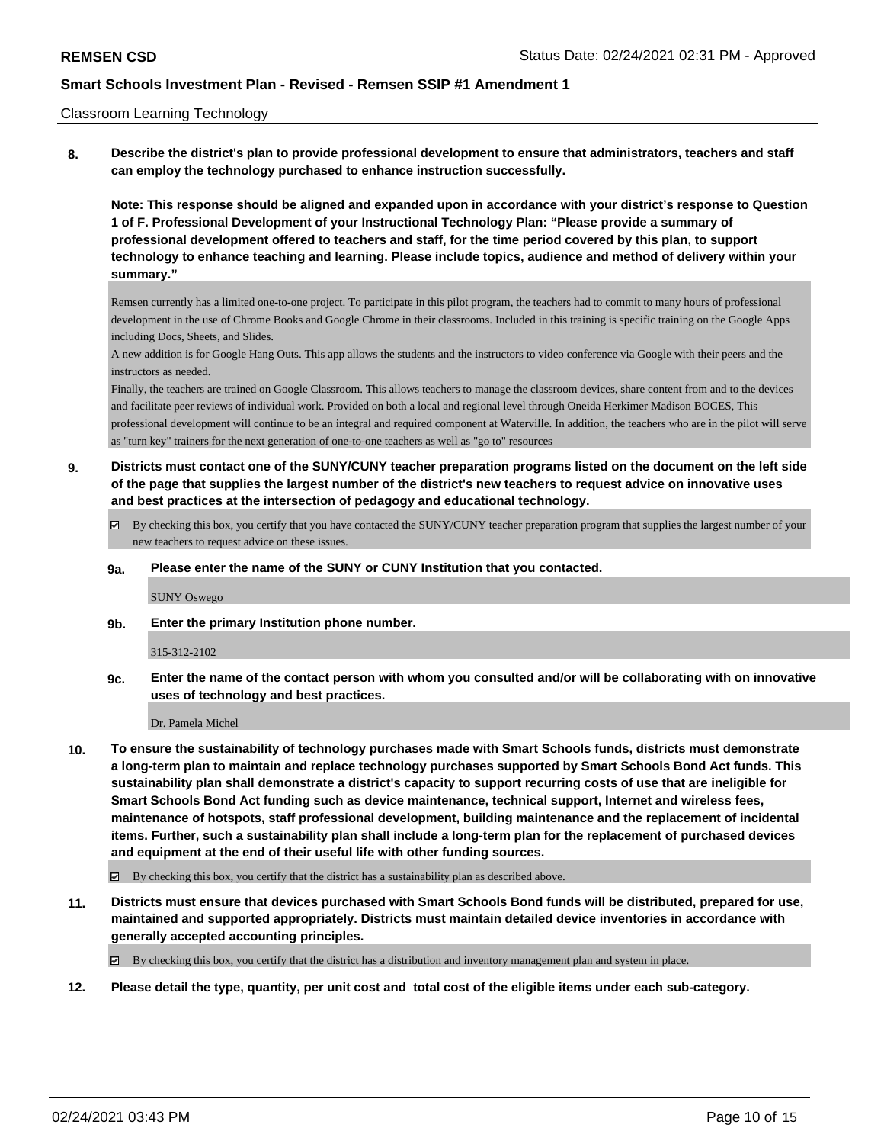#### Classroom Learning Technology

**8. Describe the district's plan to provide professional development to ensure that administrators, teachers and staff can employ the technology purchased to enhance instruction successfully.**

**Note: This response should be aligned and expanded upon in accordance with your district's response to Question 1 of F. Professional Development of your Instructional Technology Plan: "Please provide a summary of professional development offered to teachers and staff, for the time period covered by this plan, to support technology to enhance teaching and learning. Please include topics, audience and method of delivery within your summary."**

Remsen currently has a limited one-to-one project. To participate in this pilot program, the teachers had to commit to many hours of professional development in the use of Chrome Books and Google Chrome in their classrooms. Included in this training is specific training on the Google Apps including Docs, Sheets, and Slides.

A new addition is for Google Hang Outs. This app allows the students and the instructors to video conference via Google with their peers and the instructors as needed.

Finally, the teachers are trained on Google Classroom. This allows teachers to manage the classroom devices, share content from and to the devices and facilitate peer reviews of individual work. Provided on both a local and regional level through Oneida Herkimer Madison BOCES, This professional development will continue to be an integral and required component at Waterville. In addition, the teachers who are in the pilot will serve as "turn key" trainers for the next generation of one-to-one teachers as well as "go to" resources

- **9. Districts must contact one of the SUNY/CUNY teacher preparation programs listed on the document on the left side of the page that supplies the largest number of the district's new teachers to request advice on innovative uses and best practices at the intersection of pedagogy and educational technology.**
	- By checking this box, you certify that you have contacted the SUNY/CUNY teacher preparation program that supplies the largest number of your new teachers to request advice on these issues.

#### **9a. Please enter the name of the SUNY or CUNY Institution that you contacted.**

SUNY Oswego

**9b. Enter the primary Institution phone number.**

#### 315-312-2102

**9c. Enter the name of the contact person with whom you consulted and/or will be collaborating with on innovative uses of technology and best practices.**

#### Dr. Pamela Michel

- **10. To ensure the sustainability of technology purchases made with Smart Schools funds, districts must demonstrate a long-term plan to maintain and replace technology purchases supported by Smart Schools Bond Act funds. This sustainability plan shall demonstrate a district's capacity to support recurring costs of use that are ineligible for Smart Schools Bond Act funding such as device maintenance, technical support, Internet and wireless fees, maintenance of hotspots, staff professional development, building maintenance and the replacement of incidental items. Further, such a sustainability plan shall include a long-term plan for the replacement of purchased devices and equipment at the end of their useful life with other funding sources.**
	- $\boxtimes$  By checking this box, you certify that the district has a sustainability plan as described above.
- **11. Districts must ensure that devices purchased with Smart Schools Bond funds will be distributed, prepared for use, maintained and supported appropriately. Districts must maintain detailed device inventories in accordance with generally accepted accounting principles.**

By checking this box, you certify that the district has a distribution and inventory management plan and system in place.

**12. Please detail the type, quantity, per unit cost and total cost of the eligible items under each sub-category.**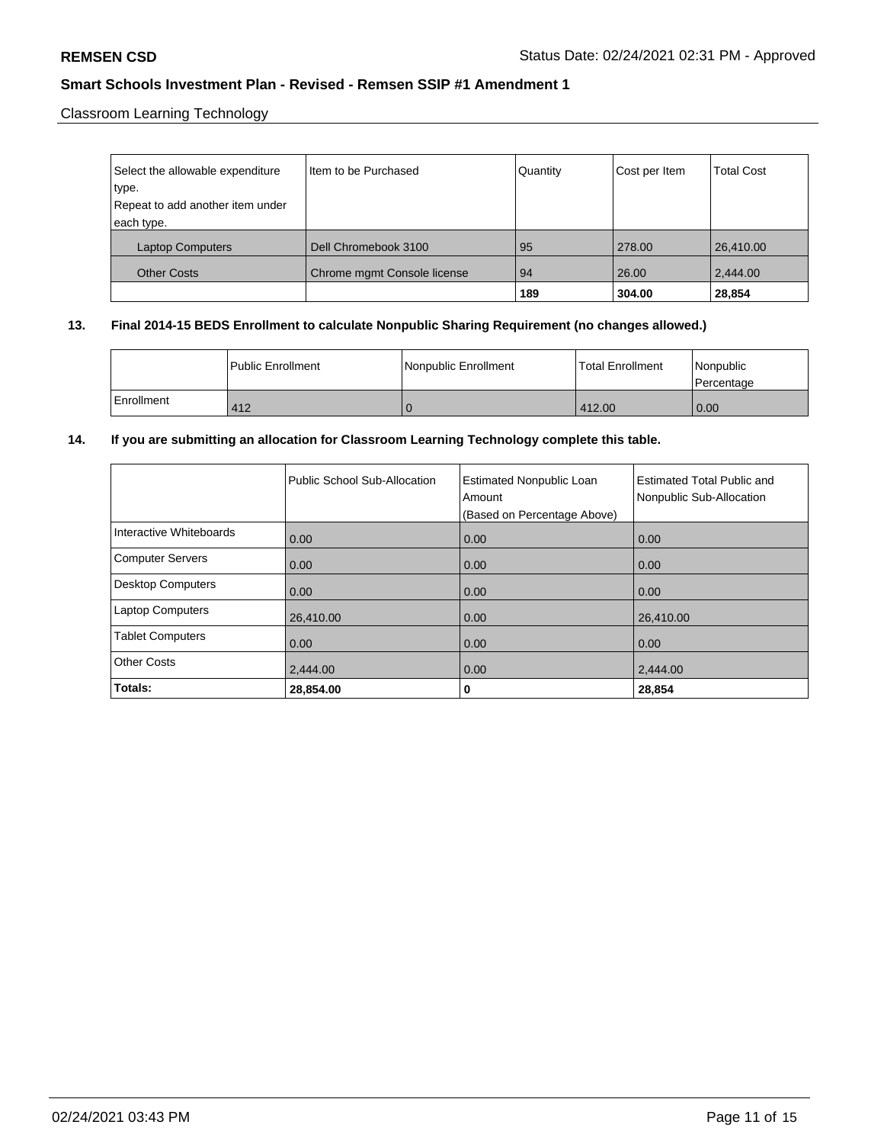Classroom Learning Technology

| Select the allowable expenditure | Item to be Purchased        | Quantity | Cost per Item | <b>Total Cost</b> |
|----------------------------------|-----------------------------|----------|---------------|-------------------|
| type.                            |                             |          |               |                   |
| Repeat to add another item under |                             |          |               |                   |
| each type.                       |                             |          |               |                   |
| <b>Laptop Computers</b>          | Dell Chromebook 3100        | 95       | 278.00        | 26,410.00         |
| <b>Other Costs</b>               | Chrome mgmt Console license | 94       | 26.00         | 2,444.00          |
|                                  |                             | 189      | 304.00        | 28,854            |

## **13. Final 2014-15 BEDS Enrollment to calculate Nonpublic Sharing Requirement (no changes allowed.)**

|            | <b>Public Enrollment</b> | Nonpublic Enrollment | l Total Enrollment | l Nonpublic<br>Percentage |
|------------|--------------------------|----------------------|--------------------|---------------------------|
| Enrollment | 412                      |                      | 412.00             | 0.00                      |

## **14. If you are submitting an allocation for Classroom Learning Technology complete this table.**

|                          | Public School Sub-Allocation | <b>Estimated Nonpublic Loan</b><br>Amount<br>(Based on Percentage Above) | <b>Estimated Total Public and</b><br>Nonpublic Sub-Allocation |
|--------------------------|------------------------------|--------------------------------------------------------------------------|---------------------------------------------------------------|
| Interactive Whiteboards  | 0.00                         | 0.00                                                                     | 0.00                                                          |
| <b>Computer Servers</b>  | 0.00                         | 0.00                                                                     | 0.00                                                          |
| <b>Desktop Computers</b> | 0.00                         | 0.00                                                                     | 0.00                                                          |
| <b>Laptop Computers</b>  | 26,410.00                    | 0.00                                                                     | 26,410.00                                                     |
| <b>Tablet Computers</b>  | 0.00                         | 0.00                                                                     | 0.00                                                          |
| <b>Other Costs</b>       | 2,444.00                     | 0.00                                                                     | 2,444.00                                                      |
| Totals:                  | 28,854.00                    | 0                                                                        | 28,854                                                        |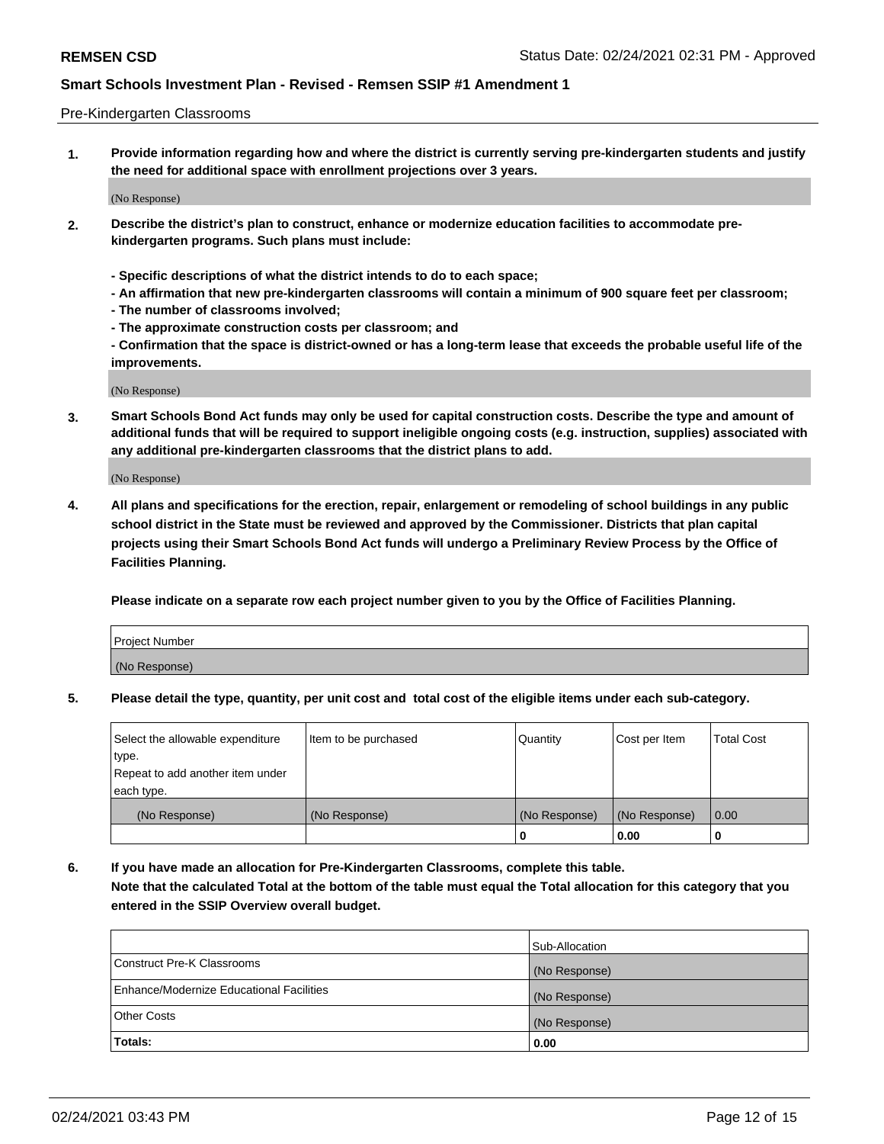#### Pre-Kindergarten Classrooms

**1. Provide information regarding how and where the district is currently serving pre-kindergarten students and justify the need for additional space with enrollment projections over 3 years.**

(No Response)

- **2. Describe the district's plan to construct, enhance or modernize education facilities to accommodate prekindergarten programs. Such plans must include:**
	- **Specific descriptions of what the district intends to do to each space;**
	- **An affirmation that new pre-kindergarten classrooms will contain a minimum of 900 square feet per classroom;**
	- **The number of classrooms involved;**
	- **The approximate construction costs per classroom; and**
	- **Confirmation that the space is district-owned or has a long-term lease that exceeds the probable useful life of the improvements.**

(No Response)

**3. Smart Schools Bond Act funds may only be used for capital construction costs. Describe the type and amount of additional funds that will be required to support ineligible ongoing costs (e.g. instruction, supplies) associated with any additional pre-kindergarten classrooms that the district plans to add.**

(No Response)

**4. All plans and specifications for the erection, repair, enlargement or remodeling of school buildings in any public school district in the State must be reviewed and approved by the Commissioner. Districts that plan capital projects using their Smart Schools Bond Act funds will undergo a Preliminary Review Process by the Office of Facilities Planning.**

**Please indicate on a separate row each project number given to you by the Office of Facilities Planning.**

| Project Number |  |
|----------------|--|
| (No Response)  |  |
|                |  |

**5. Please detail the type, quantity, per unit cost and total cost of the eligible items under each sub-category.**

| Select the allowable expenditure | Item to be purchased | Quantity      | Cost per Item | <b>Total Cost</b> |
|----------------------------------|----------------------|---------------|---------------|-------------------|
| type.                            |                      |               |               |                   |
| Repeat to add another item under |                      |               |               |                   |
| each type.                       |                      |               |               |                   |
| (No Response)                    | (No Response)        | (No Response) | (No Response) | 0.00              |
|                                  |                      | U             | 0.00          |                   |

**6. If you have made an allocation for Pre-Kindergarten Classrooms, complete this table. Note that the calculated Total at the bottom of the table must equal the Total allocation for this category that you entered in the SSIP Overview overall budget.**

|                                          | Sub-Allocation |
|------------------------------------------|----------------|
| Construct Pre-K Classrooms               | (No Response)  |
| Enhance/Modernize Educational Facilities | (No Response)  |
| <b>Other Costs</b>                       | (No Response)  |
| Totals:                                  | 0.00           |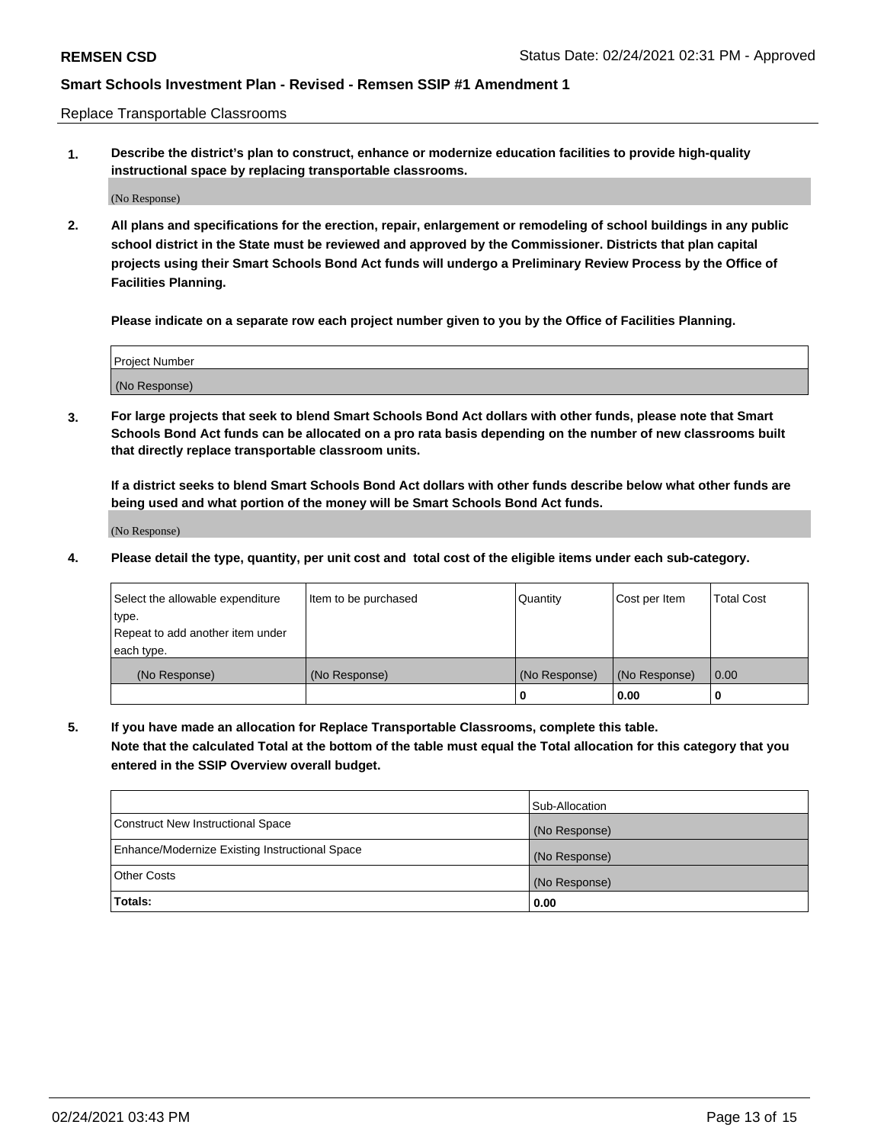Replace Transportable Classrooms

**1. Describe the district's plan to construct, enhance or modernize education facilities to provide high-quality instructional space by replacing transportable classrooms.**

(No Response)

**2. All plans and specifications for the erection, repair, enlargement or remodeling of school buildings in any public school district in the State must be reviewed and approved by the Commissioner. Districts that plan capital projects using their Smart Schools Bond Act funds will undergo a Preliminary Review Process by the Office of Facilities Planning.**

**Please indicate on a separate row each project number given to you by the Office of Facilities Planning.**

| Project Number |  |
|----------------|--|
|                |  |
|                |  |
|                |  |
| (No Response)  |  |
|                |  |
|                |  |

**3. For large projects that seek to blend Smart Schools Bond Act dollars with other funds, please note that Smart Schools Bond Act funds can be allocated on a pro rata basis depending on the number of new classrooms built that directly replace transportable classroom units.**

**If a district seeks to blend Smart Schools Bond Act dollars with other funds describe below what other funds are being used and what portion of the money will be Smart Schools Bond Act funds.**

(No Response)

**4. Please detail the type, quantity, per unit cost and total cost of the eligible items under each sub-category.**

| Select the allowable expenditure           | Item to be purchased | Quantity      | Cost per Item | <b>Total Cost</b> |
|--------------------------------------------|----------------------|---------------|---------------|-------------------|
| ∣type.<br>Repeat to add another item under |                      |               |               |                   |
| each type.                                 |                      |               |               |                   |
| (No Response)                              | (No Response)        | (No Response) | (No Response) | 0.00              |
|                                            |                      | 0             | 0.00          |                   |

**5. If you have made an allocation for Replace Transportable Classrooms, complete this table. Note that the calculated Total at the bottom of the table must equal the Total allocation for this category that you entered in the SSIP Overview overall budget.**

|                                                | Sub-Allocation |
|------------------------------------------------|----------------|
| Construct New Instructional Space              | (No Response)  |
| Enhance/Modernize Existing Instructional Space | (No Response)  |
| Other Costs                                    | (No Response)  |
| Totals:                                        | 0.00           |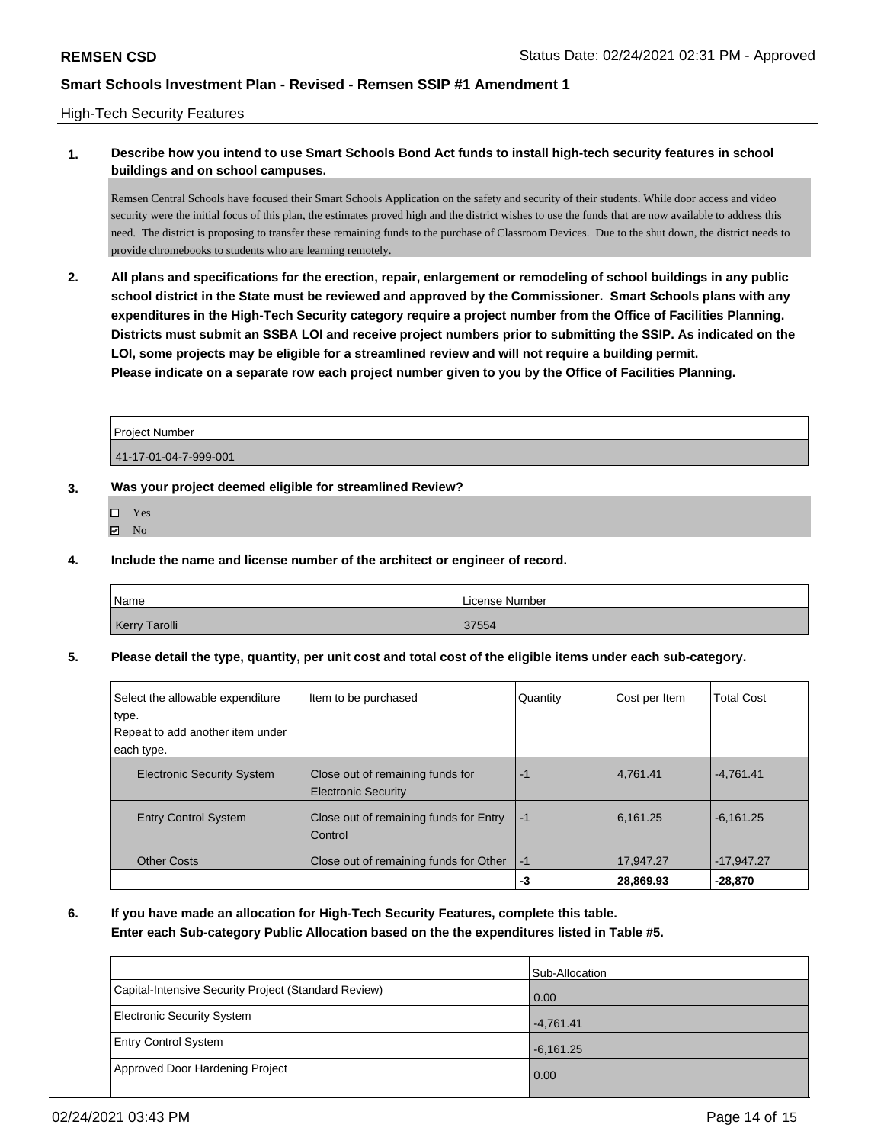#### High-Tech Security Features

## **1. Describe how you intend to use Smart Schools Bond Act funds to install high-tech security features in school buildings and on school campuses.**

Remsen Central Schools have focused their Smart Schools Application on the safety and security of their students. While door access and video security were the initial focus of this plan, the estimates proved high and the district wishes to use the funds that are now available to address this need. The district is proposing to transfer these remaining funds to the purchase of Classroom Devices. Due to the shut down, the district needs to provide chromebooks to students who are learning remotely.

**2. All plans and specifications for the erection, repair, enlargement or remodeling of school buildings in any public school district in the State must be reviewed and approved by the Commissioner. Smart Schools plans with any expenditures in the High-Tech Security category require a project number from the Office of Facilities Planning. Districts must submit an SSBA LOI and receive project numbers prior to submitting the SSIP. As indicated on the LOI, some projects may be eligible for a streamlined review and will not require a building permit. Please indicate on a separate row each project number given to you by the Office of Facilities Planning.**

| Project Number        |  |
|-----------------------|--|
| 41-17-01-04-7-999-001 |  |

#### **3. Was your project deemed eligible for streamlined Review?**

- Yes
- $\boxtimes$  No

#### **4. Include the name and license number of the architect or engineer of record.**

| Name          | License Number |
|---------------|----------------|
| Kerry Tarolli | 37554          |

**5. Please detail the type, quantity, per unit cost and total cost of the eligible items under each sub-category.**

| Select the allowable expenditure<br>type.<br>Repeat to add another item under | Item to be purchased                                           | Quantity | Cost per Item | <b>Total Cost</b> |
|-------------------------------------------------------------------------------|----------------------------------------------------------------|----------|---------------|-------------------|
| each type.                                                                    |                                                                |          |               |                   |
| <b>Electronic Security System</b>                                             | Close out of remaining funds for<br><b>Electronic Security</b> | -1       | 4,761.41      | $-4.761.41$       |
| <b>Entry Control System</b>                                                   | Close out of remaining funds for Entry<br>Control              | -1       | 6,161.25      | $-6.161.25$       |
| <b>Other Costs</b>                                                            | Close out of remaining funds for Other                         | -1       | 17,947.27     | $-17,947.27$      |
|                                                                               |                                                                | -3       | 28,869.93     | $-28,870$         |

**6. If you have made an allocation for High-Tech Security Features, complete this table.**

### **Enter each Sub-category Public Allocation based on the the expenditures listed in Table #5.**

|                                                      | Sub-Allocation |
|------------------------------------------------------|----------------|
| Capital-Intensive Security Project (Standard Review) | 0.00           |
| <b>Electronic Security System</b>                    | $-4,761.41$    |
| <b>Entry Control System</b>                          | $-6,161.25$    |
| Approved Door Hardening Project                      | 0.00           |